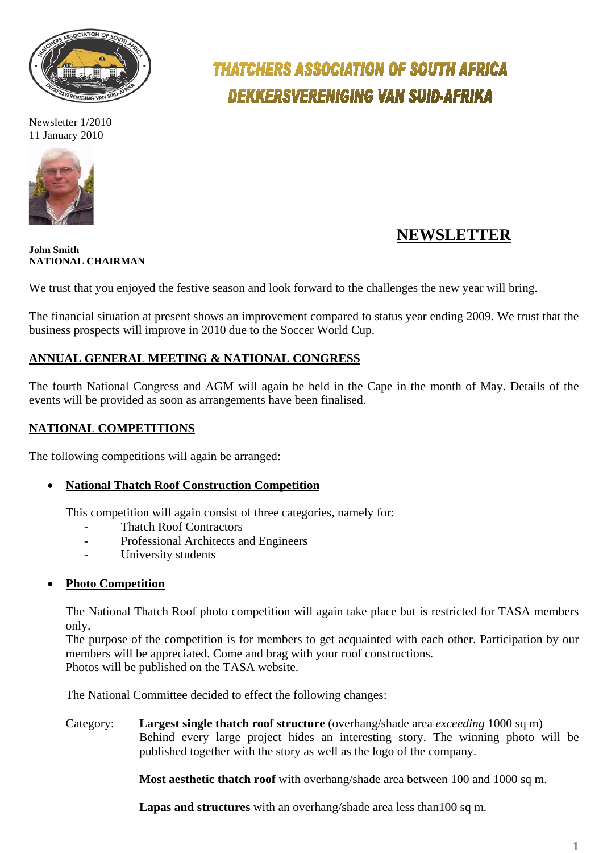

Newsletter 1/2010 11 January 2010



# **THATCHERS ASSOCIATION OF SOUTH AFRICA DEKKERSVERENIGING VAN SUID-AFRIKA**

## **NEWSLETTER**

#### **John Smith NATIONAL CHAIRMAN**

We trust that you enjoyed the festive season and look forward to the challenges the new year will bring.

The financial situation at present shows an improvement compared to status year ending 2009. We trust that the business prospects will improve in 2010 due to the Soccer World Cup.

#### **ANNUAL GENERAL MEETING & NATIONAL CONGRESS**

The fourth National Congress and AGM will again be held in the Cape in the month of May. Details of the events will be provided as soon as arrangements have been finalised.

### **NATIONAL COMPETITIONS**

The following competitions will again be arranged:

#### • **National Thatch Roof Construction Competition**

This competition will again consist of three categories, namely for:

- Thatch Roof Contractors
- Professional Architects and Engineers
- University students

#### • **Photo Competition**

The National Thatch Roof photo competition will again take place but is restricted for TASA members only.

The purpose of the competition is for members to get acquainted with each other. Participation by our members will be appreciated. Come and brag with your roof constructions. Photos will be published on the TASA website.

The National Committee decided to effect the following changes:

Category: **Largest single thatch roof structure** (overhang/shade area *exceeding* 1000 sq m) Behind every large project hides an interesting story. The winning photo will be published together with the story as well as the logo of the company.

**Most aesthetic thatch roof** with overhang/shade area between 100 and 1000 sq m.

**Lapas and structures** with an overhang/shade area less than100 sq m.